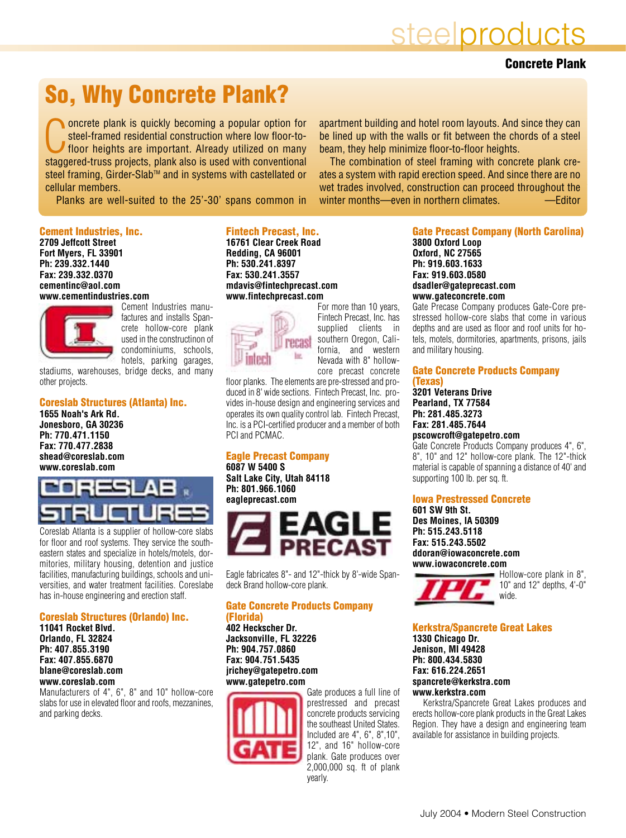# steelproducts

### **Concrete Plank**

### **So, Why Concrete Plank?**

Oncrete plank is quickly becoming a popular option for steel-framed residential construction where low floor-to-<br>floor heights are important. Already utilized on many staggered-truss projects, plank also is used with conve oncrete plank is quickly becoming a popular option for steel-framed residential construction where low floor-tofloor heights are important. Already utilized on many steel framing, Girder-Slab™ and in systems with castellated or cellular members.

Planks are well-suited to the 25'-30' spans common in

### **Cement Industries, Inc.**

**2709 Jeffcott Street Fort Myers, FL 33901 Ph: 239.332.1440 Fax: 239.332.0370 cementinc@aol.com www.cementindustries.com**



Cement Industries manufactures and installs Spancrete hollow-core plank used in the constructinon of condominiums, schools, hotels, parking garages,

stadiums, warehouses, bridge decks, and many other projects.

#### **Coreslab Structures (Atlanta) Inc. 1655 Noah's Ark Rd.**

**Jonesboro, GA 30236 Ph: 770.471.1150 Fax: 770.477.2838 shead@coreslab.com www.coreslab.com**



Coreslab Atlanta is a supplier of hollow-core slabs for floor and roof systems. They service the southeastern states and specialize in hotels/motels, dormitories, military housing, detention and justice facilities, manufacturing buildings, schools and universities, and water treatment facilities. Coreslabe has in-house engineering and erection staff.

### **Coreslab Structures (Orlando) Inc.**

**11041 Rocket Blvd. Orlando, FL 32824 Ph: 407.855.3190 Fax: 407.855.6870 blane@coreslab.com www.coreslab.com**

Manufacturers of 4", 6", 8" and 10" hollow-core slabs for use in elevated floor and roofs, mezzanines, and parking decks.

### **Fintech Precast, Inc.**

**16761 Clear Creek Road Redding, CA 96001 Ph: 530.241.8397 Fax: 530.241.3557 mdavis@fintechprecast.com www.fintechprecast.com**



For more than 10 years, Fintech Precast, Inc. has supplied clients in southern Oregon, California, and western Nevada with 8" hollowcore precast concrete

floor planks. The elements are pre-stressed and produced in 8' wide sections. Fintech Precast, Inc. provides in-house design and engineering services and operates its own quality control lab. Fintech Precast, Inc. is a PCI-certified producer and a member of both PCI and PCMAC.

### **Eagle Precast Company**

**6087 W 5400 S Salt Lake City, Utah 84118 Ph: 801.966.1060 eagleprecast.com**



Eagle fabricates 8"- and 12"-thick by 8'-wide Spandeck Brand hollow-core plank.

### **Gate Concrete Products Company (Florida)**

**402 Heckscher Dr. Jacksonville, FL 32226 Ph: 904.757.0860 Fax: 904.751.5435 jrichey@gatepetro.com www.gatepetro.com** 



Gate produces a full line of prestressed and precast concrete products servicing the southeast United States. Included are 4", 6", 8",10", 12", and 16" hollow-core plank. Gate produces over 2,000,000 sq. ft of plank yearly.

apartment building and hotel room layouts. And since they can be lined up with the walls or fit between the chords of a steel beam, they help minimize floor-to-floor heights.

The combination of steel framing with concrete plank creates a system with rapid erection speed. And since there are no wet trades involved, construction can proceed throughout the winter months—even in northern climates. —— Editor

> **Gate Precast Company (North Carolina) 3800 Oxford Loop Oxford, NC 27565 Ph: 919.603.1633 Fax: 919.603.0580 dsadler@gateprecast.com www.gateconcrete.com**

Gate Precase Company produces Gate-Core prestressed hollow-core slabs that come in various depths and are used as floor and roof units for hotels, motels, dormitories, apartments, prisons, jails and military housing.

#### **Gate Concrete Products Company (Texas)**

**3201 Veterans Drive Pearland, TX 77584 Ph: 281.485.3273 Fax: 281.485.7644 pscowcroft@gatepetro.com**

Gate Concrete Products Company produces 4", 6", 8", 10" and 12" hollow-core plank. The 12"-thick material is capable of spanning a distance of 40' and supporting 100 lb. per sq. ft.

### **Iowa Prestressed Concrete**

**601 SW 9th St. Des Moines, IA 50309 Ph: 515.243.5118 Fax: 515.243.5502 ddoran@iowaconcrete.com www.iowaconcrete.com** 



### **Kerkstra/Spancrete Great Lakes**

**1330 Chicago Dr. Jenison, MI 49428 Ph: 800.434.5830 Fax: 616.224.2651 spancrete@kerkstra.com www.kerkstra.com**

Kerkstra/Spancrete Great Lakes produces and erects hollow-core plank products in the Great Lakes Region. They have a design and engineering team available for assistance in building projects.